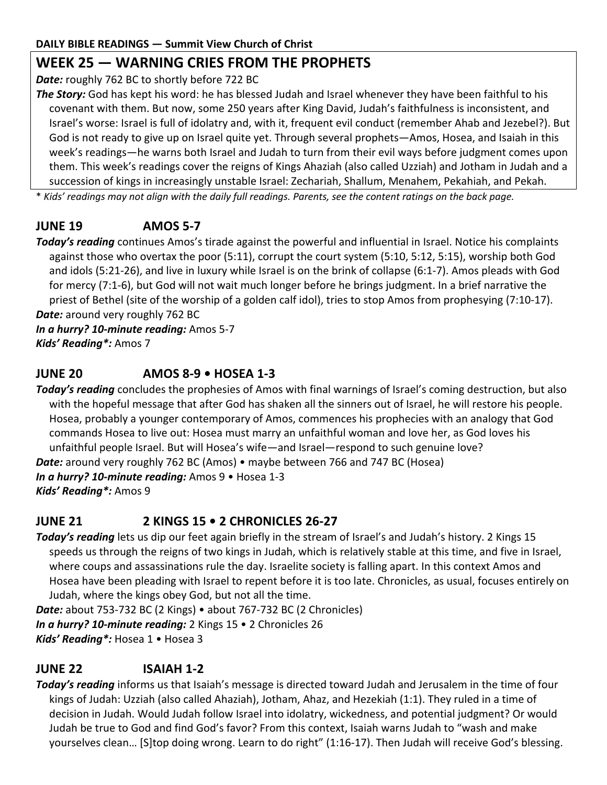# **WEEK 25 — WARNING CRIES FROM THE PROPHETS**

*Date:* roughly 762 BC to shortly before 722 BC

*The Story:* God has kept his word: he has blessed Judah and Israel whenever they have been faithful to his covenant with them. But now, some 250 years after King David, Judah's faithfulness is inconsistent, and Israel's worse: Israel is full of idolatry and, with it, frequent evil conduct (remember Ahab and Jezebel?). But God is not ready to give up on Israel quite yet. Through several prophets—Amos, Hosea, and Isaiah in this week's readings—he warns both Israel and Judah to turn from their evil ways before judgment comes upon them. This week's readings cover the reigns of Kings Ahaziah (also called Uzziah) and Jotham in Judah and a succession of kings in increasingly unstable Israel: Zechariah, Shallum, Menahem, Pekahiah, and Pekah.

\* *Kids' readings may not align with the daily full readings. Parents, see the content ratings on the back page.*

# **JUNE 19 AMOS 5-7**

*Today's reading* continues Amos's tirade against the powerful and influential in Israel. Notice his complaints against those who overtax the poor (5:11), corrupt the court system (5:10, 5:12, 5:15), worship both God and idols (5:21-26), and live in luxury while Israel is on the brink of collapse (6:1-7). Amos pleads with God for mercy (7:1-6), but God will not wait much longer before he brings judgment. In a brief narrative the priest of Bethel (site of the worship of a golden calf idol), tries to stop Amos from prophesying (7:10-17). *Date:* around very roughly 762 BC

*In a hurry? 10-minute reading:* Amos 5-7 *Kids' Reading\*:* Amos 7

## **JUNE 20 AMOS 8-9 • HOSEA 1-3**

*Today's reading* concludes the prophesies of Amos with final warnings of Israel's coming destruction, but also with the hopeful message that after God has shaken all the sinners out of Israel, he will restore his people. Hosea, probably a younger contemporary of Amos, commences his prophecies with an analogy that God commands Hosea to live out: Hosea must marry an unfaithful woman and love her, as God loves his unfaithful people Israel. But will Hosea's wife—and Israel—respond to such genuine love? *Date:* around very roughly 762 BC (Amos) • maybe between 766 and 747 BC (Hosea) *In a hurry? 10-minute reading:* Amos 9 • Hosea 1-3 *Kids' Reading\*:* Amos 9

## **JUNE 21 2 KINGS 15 • 2 CHRONICLES 26-27**

*Today's reading* lets us dip our feet again briefly in the stream of Israel's and Judah's history. 2 Kings 15 speeds us through the reigns of two kings in Judah, which is relatively stable at this time, and five in Israel, where coups and assassinations rule the day. Israelite society is falling apart. In this context Amos and Hosea have been pleading with Israel to repent before it is too late. Chronicles, as usual, focuses entirely on Judah, where the kings obey God, but not all the time.

*Date:* about 753-732 BC (2 Kings) • about 767-732 BC (2 Chronicles) *In a hurry? 10-minute reading:* 2 Kings 15 • 2 Chronicles 26 *Kids' Reading\*:* Hosea 1 • Hosea 3

## **JUNE 22 ISAIAH 1-2**

*Today's reading* informs us that Isaiah's message is directed toward Judah and Jerusalem in the time of four kings of Judah: Uzziah (also called Ahaziah), Jotham, Ahaz, and Hezekiah (1:1). They ruled in a time of decision in Judah. Would Judah follow Israel into idolatry, wickedness, and potential judgment? Or would Judah be true to God and find God's favor? From this context, Isaiah warns Judah to "wash and make yourselves clean… [S]top doing wrong. Learn to do right" (1:16-17). Then Judah will receive God's blessing.